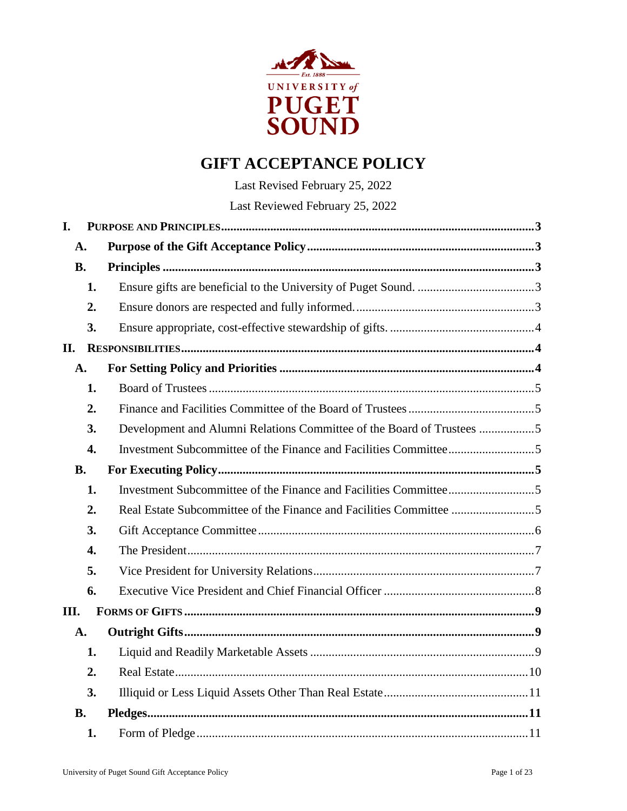

# **GIFT ACCEPTANCE POLICY**

Last Revised February 25, 2022 Last Reviewed February 25, 2022

| I.             |                  |                                                                       |  |  |  |  |  |  |
|----------------|------------------|-----------------------------------------------------------------------|--|--|--|--|--|--|
| A.             |                  |                                                                       |  |  |  |  |  |  |
| <b>B.</b>      |                  |                                                                       |  |  |  |  |  |  |
|                | 1.               |                                                                       |  |  |  |  |  |  |
|                | 2.               |                                                                       |  |  |  |  |  |  |
|                | 3.               |                                                                       |  |  |  |  |  |  |
| II.            |                  |                                                                       |  |  |  |  |  |  |
| A.             |                  |                                                                       |  |  |  |  |  |  |
|                | 1.               |                                                                       |  |  |  |  |  |  |
|                | 2.               |                                                                       |  |  |  |  |  |  |
|                | 3.               | Development and Alumni Relations Committee of the Board of Trustees 5 |  |  |  |  |  |  |
|                | $\overline{4}$ . |                                                                       |  |  |  |  |  |  |
| <b>B.</b>      |                  |                                                                       |  |  |  |  |  |  |
|                | 1.               |                                                                       |  |  |  |  |  |  |
|                | 2.               |                                                                       |  |  |  |  |  |  |
|                | 3.               |                                                                       |  |  |  |  |  |  |
|                | $\overline{4}$ . |                                                                       |  |  |  |  |  |  |
|                | 5.               |                                                                       |  |  |  |  |  |  |
|                | 6.               |                                                                       |  |  |  |  |  |  |
| III.           |                  |                                                                       |  |  |  |  |  |  |
| $\mathbf{A}$ . |                  |                                                                       |  |  |  |  |  |  |
|                | 1.               |                                                                       |  |  |  |  |  |  |
|                | 2.               |                                                                       |  |  |  |  |  |  |
|                | 3.               |                                                                       |  |  |  |  |  |  |
| <b>B.</b>      |                  |                                                                       |  |  |  |  |  |  |
|                | 1.               |                                                                       |  |  |  |  |  |  |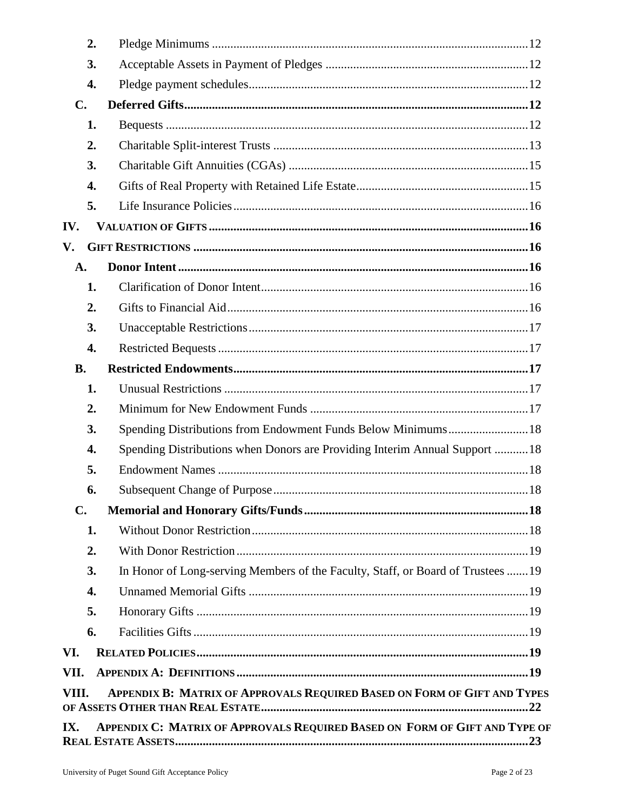| 2.             |                                                                                  |  |
|----------------|----------------------------------------------------------------------------------|--|
| 3.             |                                                                                  |  |
| 4.             |                                                                                  |  |
| C.             |                                                                                  |  |
| 1.             |                                                                                  |  |
| 2.             |                                                                                  |  |
| 3.             |                                                                                  |  |
| 4.             |                                                                                  |  |
| 5.             |                                                                                  |  |
| IV.            |                                                                                  |  |
| V.             |                                                                                  |  |
| A.             |                                                                                  |  |
| 1.             |                                                                                  |  |
| 2.             |                                                                                  |  |
| 3.             |                                                                                  |  |
| 4.             |                                                                                  |  |
| <b>B.</b>      |                                                                                  |  |
| 1.             |                                                                                  |  |
| 2.             |                                                                                  |  |
| 3.             | Spending Distributions from Endowment Funds Below Minimums18                     |  |
| 4.             | Spending Distributions when Donors are Providing Interim Annual Support 18       |  |
| 5.             |                                                                                  |  |
| 6.             |                                                                                  |  |
| $\mathbf{C}$ . |                                                                                  |  |
| 1.             |                                                                                  |  |
| 2.             |                                                                                  |  |
| 3.             | In Honor of Long-serving Members of the Faculty, Staff, or Board of Trustees  19 |  |
| 4.             |                                                                                  |  |
| 5.             |                                                                                  |  |
| 6.             |                                                                                  |  |
| VI.            |                                                                                  |  |
| VII.           |                                                                                  |  |
| VIII.          | APPENDIX B: MATRIX OF APPROVALS REQUIRED BASED ON FORM OF GIFT AND TYPES         |  |
| IX.            | APPENDIX C: MATRIX OF APPROVALS REQUIRED BASED ON FORM OF GIFT AND TYPE OF       |  |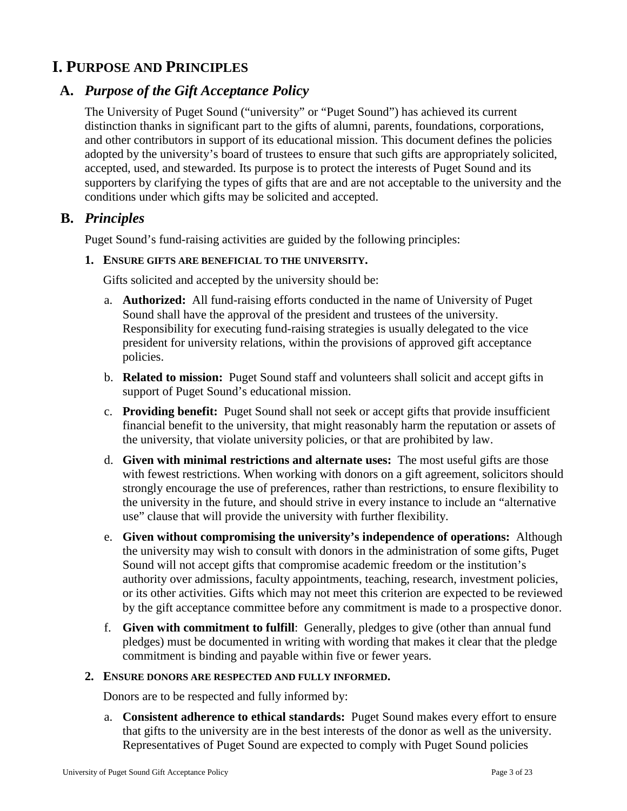## <span id="page-2-0"></span>**I. PURPOSE AND PRINCIPLES**

## <span id="page-2-1"></span>**A.** *Purpose of the Gift Acceptance Policy*

The University of Puget Sound ("university" or "Puget Sound") has achieved its current distinction thanks in significant part to the gifts of alumni, parents, foundations, corporations, and other contributors in support of its educational mission. This document defines the policies adopted by the university's board of trustees to ensure that such gifts are appropriately solicited, accepted, used, and stewarded. Its purpose is to protect the interests of Puget Sound and its supporters by clarifying the types of gifts that are and are not acceptable to the university and the conditions under which gifts may be solicited and accepted.

## <span id="page-2-2"></span>**B.** *Principles*

Puget Sound's fund-raising activities are guided by the following principles:

#### <span id="page-2-3"></span>**1. ENSURE GIFTS ARE BENEFICIAL TO THE UNIVERSITY.**

Gifts solicited and accepted by the university should be:

- a. **Authorized:** All fund-raising efforts conducted in the name of University of Puget Sound shall have the approval of the president and trustees of the university. Responsibility for executing fund-raising strategies is usually delegated to the vice president for university relations, within the provisions of approved gift acceptance policies.
- b. **Related to mission:** Puget Sound staff and volunteers shall solicit and accept gifts in support of Puget Sound's educational mission.
- c. **Providing benefit:** Puget Sound shall not seek or accept gifts that provide insufficient financial benefit to the university, that might reasonably harm the reputation or assets of the university, that violate university policies, or that are prohibited by law.
- d. **Given with minimal restrictions and alternate uses:** The most useful gifts are those with fewest restrictions. When working with donors on a gift agreement, solicitors should strongly encourage the use of preferences, rather than restrictions, to ensure flexibility to the university in the future, and should strive in every instance to include an "alternative use" clause that will provide the university with further flexibility.
- e. **Given without compromising the university's independence of operations:** Although the university may wish to consult with donors in the administration of some gifts, Puget Sound will not accept gifts that compromise academic freedom or the institution's authority over admissions, faculty appointments, teaching, research, investment policies, or its other activities. Gifts which may not meet this criterion are expected to be reviewed by the gift acceptance committee before any commitment is made to a prospective donor.
- f. **Given with commitment to fulfill**: Generally, pledges to give (other than annual fund pledges) must be documented in writing with wording that makes it clear that the pledge commitment is binding and payable within five or fewer years.

#### <span id="page-2-4"></span>**2. ENSURE DONORS ARE RESPECTED AND FULLY INFORMED.**

Donors are to be respected and fully informed by:

a. **Consistent adherence to ethical standards:** Puget Sound makes every effort to ensure that gifts to the university are in the best interests of the donor as well as the university. Representatives of Puget Sound are expected to comply with Puget Sound policies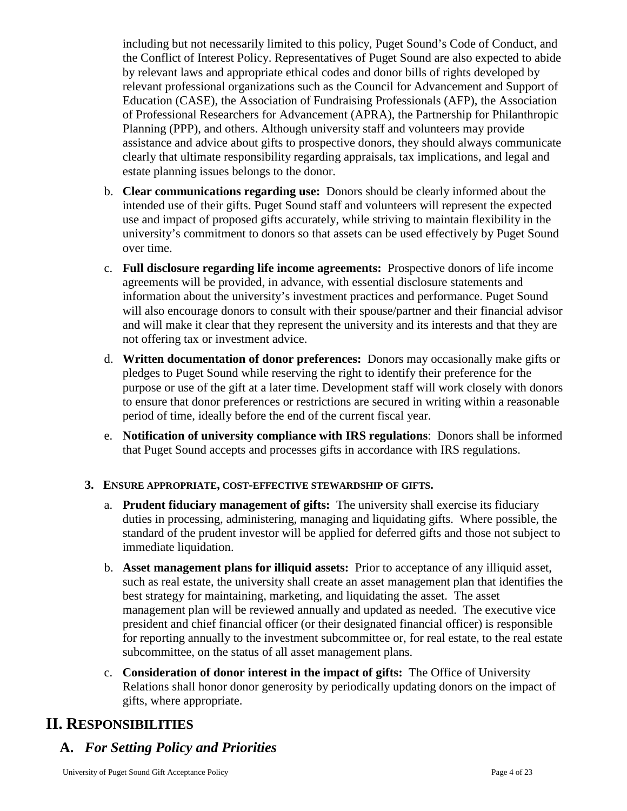including but not necessarily limited to this policy, Puget Sound's Code of Conduct, and the Conflict of Interest Policy. Representatives of Puget Sound are also expected to abide by relevant laws and appropriate ethical codes and donor bills of rights developed by relevant professional organizations such as the Council for Advancement and Support of Education (CASE), the Association of Fundraising Professionals (AFP), the Association of Professional Researchers for Advancement (APRA), the Partnership for Philanthropic Planning (PPP), and others. Although university staff and volunteers may provide assistance and advice about gifts to prospective donors, they should always communicate clearly that ultimate responsibility regarding appraisals, tax implications, and legal and estate planning issues belongs to the donor.

- b. **Clear communications regarding use:** Donors should be clearly informed about the intended use of their gifts. Puget Sound staff and volunteers will represent the expected use and impact of proposed gifts accurately, while striving to maintain flexibility in the university's commitment to donors so that assets can be used effectively by Puget Sound over time.
- c. **Full disclosure regarding life income agreements:** Prospective donors of life income agreements will be provided, in advance, with essential disclosure statements and information about the university's investment practices and performance. Puget Sound will also encourage donors to consult with their spouse/partner and their financial advisor and will make it clear that they represent the university and its interests and that they are not offering tax or investment advice.
- d. **Written documentation of donor preferences:** Donors may occasionally make gifts or pledges to Puget Sound while reserving the right to identify their preference for the purpose or use of the gift at a later time. Development staff will work closely with donors to ensure that donor preferences or restrictions are secured in writing within a reasonable period of time, ideally before the end of the current fiscal year.
- e. **Notification of university compliance with IRS regulations**: Donors shall be informed that Puget Sound accepts and processes gifts in accordance with IRS regulations.

## <span id="page-3-0"></span>**3. ENSURE APPROPRIATE, COST-EFFECTIVE STEWARDSHIP OF GIFTS.**

- a. **Prudent fiduciary management of gifts:** The university shall exercise its fiduciary duties in processing, administering, managing and liquidating gifts. Where possible, the standard of the prudent investor will be applied for deferred gifts and those not subject to immediate liquidation.
- b. **Asset management plans for illiquid assets:** Prior to acceptance of any illiquid asset, such as real estate, the university shall create an asset management plan that identifies the best strategy for maintaining, marketing, and liquidating the asset. The asset management plan will be reviewed annually and updated as needed. The executive vice president and chief financial officer (or their designated financial officer) is responsible for reporting annually to the investment subcommittee or, for real estate, to the real estate subcommittee, on the status of all asset management plans.
- c. **Consideration of donor interest in the impact of gifts:** The Office of University Relations shall honor donor generosity by periodically updating donors on the impact of gifts, where appropriate.

## <span id="page-3-1"></span>**II. RESPONSIBILITIES**

# <span id="page-3-2"></span>**A.** *For Setting Policy and Priorities*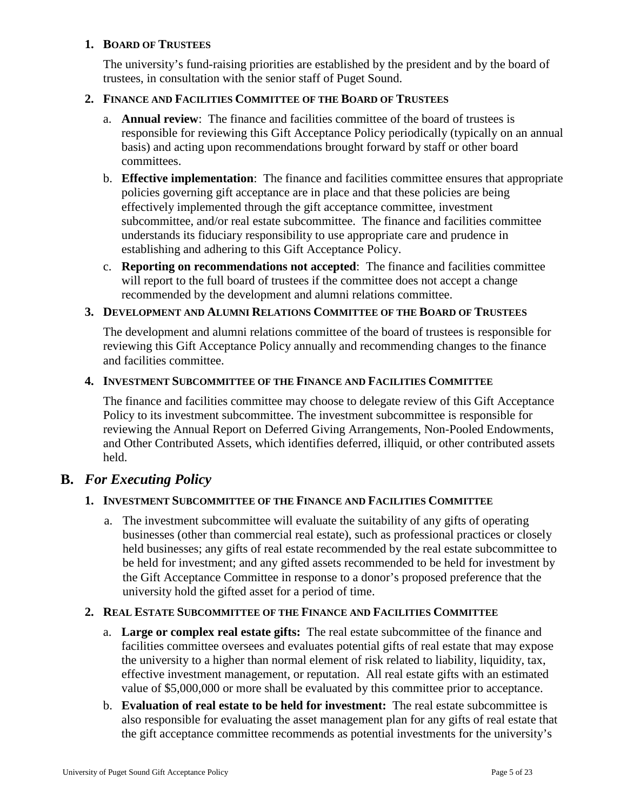#### <span id="page-4-0"></span>**1. BOARD OF TRUSTEES**

The university's fund-raising priorities are established by the president and by the board of trustees, in consultation with the senior staff of Puget Sound.

#### <span id="page-4-1"></span>**2. FINANCE AND FACILITIES COMMITTEE OF THE BOARD OF TRUSTEES**

- a. **Annual review**: The finance and facilities committee of the board of trustees is responsible for reviewing this Gift Acceptance Policy periodically (typically on an annual basis) and acting upon recommendations brought forward by staff or other board committees.
- b. **Effective implementation**: The finance and facilities committee ensures that appropriate policies governing gift acceptance are in place and that these policies are being effectively implemented through the gift acceptance committee, investment subcommittee, and/or real estate subcommittee. The finance and facilities committee understands its fiduciary responsibility to use appropriate care and prudence in establishing and adhering to this Gift Acceptance Policy.
- c. **Reporting on recommendations not accepted**: The finance and facilities committee will report to the full board of trustees if the committee does not accept a change recommended by the development and alumni relations committee.

#### <span id="page-4-2"></span>**3. DEVELOPMENT AND ALUMNI RELATIONS COMMITTEE OF THE BOARD OF TRUSTEES**

The development and alumni relations committee of the board of trustees is responsible for reviewing this Gift Acceptance Policy annually and recommending changes to the finance and facilities committee.

#### <span id="page-4-3"></span>**4. INVESTMENT SUBCOMMITTEE OF THE FINANCE AND FACILITIES COMMITTEE**

The finance and facilities committee may choose to delegate review of this Gift Acceptance Policy to its investment subcommittee. The investment subcommittee is responsible for reviewing the Annual Report on Deferred Giving Arrangements, Non-Pooled Endowments, and Other Contributed Assets, which identifies deferred, illiquid, or other contributed assets held.

## <span id="page-4-5"></span><span id="page-4-4"></span>**B.** *For Executing Policy*

## **1. INVESTMENT SUBCOMMITTEE OF THE FINANCE AND FACILITIES COMMITTEE**

a. The investment subcommittee will evaluate the suitability of any gifts of operating businesses (other than commercial real estate), such as professional practices or closely held businesses; any gifts of real estate recommended by the real estate subcommittee to be held for investment; and any gifted assets recommended to be held for investment by the Gift Acceptance Committee in response to a donor's proposed preference that the university hold the gifted asset for a period of time.

#### <span id="page-4-6"></span>**2. REAL ESTATE SUBCOMMITTEE OF THE FINANCE AND FACILITIES COMMITTEE**

- a. **Large or complex real estate gifts:** The real estate subcommittee of the finance and facilities committee oversees and evaluates potential gifts of real estate that may expose the university to a higher than normal element of risk related to liability, liquidity, tax, effective investment management, or reputation. All real estate gifts with an estimated value of \$5,000,000 or more shall be evaluated by this committee prior to acceptance.
- b. **Evaluation of real estate to be held for investment:** The real estate subcommittee is also responsible for evaluating the asset management plan for any gifts of real estate that the gift acceptance committee recommends as potential investments for the university's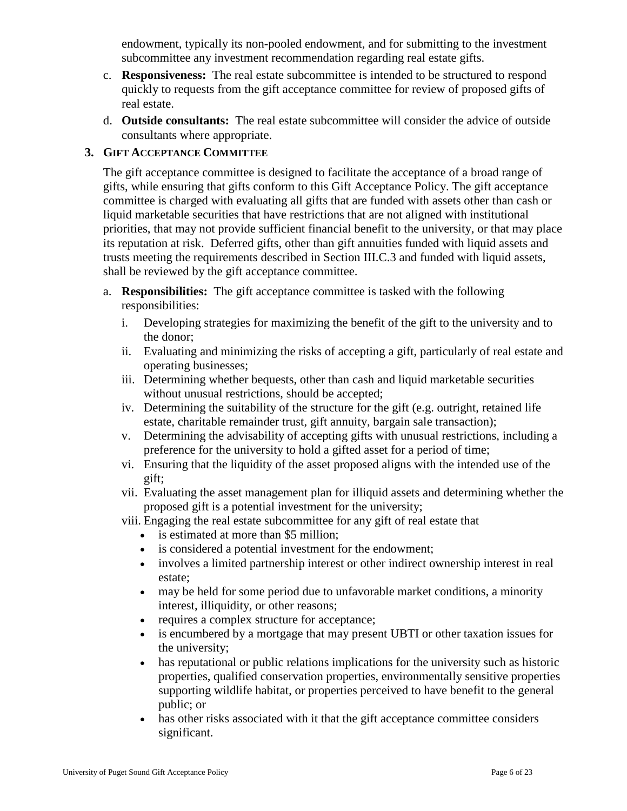endowment, typically its non-pooled endowment, and for submitting to the investment subcommittee any investment recommendation regarding real estate gifts.

- c. **Responsiveness:** The real estate subcommittee is intended to be structured to respond quickly to requests from the gift acceptance committee for review of proposed gifts of real estate.
- d. **Outside consultants:** The real estate subcommittee will consider the advice of outside consultants where appropriate.

#### <span id="page-5-0"></span>**3. GIFT ACCEPTANCE COMMITTEE**

The gift acceptance committee is designed to facilitate the acceptance of a broad range of gifts, while ensuring that gifts conform to this Gift Acceptance Policy. The gift acceptance committee is charged with evaluating all gifts that are funded with assets other than cash or liquid marketable securities that have restrictions that are not aligned with institutional priorities, that may not provide sufficient financial benefit to the university, or that may place its reputation at risk. Deferred gifts, other than gift annuities funded with liquid assets and trusts meeting the requirements described in Section III.C.3 and funded with liquid assets, shall be reviewed by the gift acceptance committee.

- a. **Responsibilities:** The gift acceptance committee is tasked with the following responsibilities:
	- i. Developing strategies for maximizing the benefit of the gift to the university and to the donor;
	- ii. Evaluating and minimizing the risks of accepting a gift, particularly of real estate and operating businesses;
	- iii. Determining whether bequests, other than cash and liquid marketable securities without unusual restrictions, should be accepted;
	- iv. Determining the suitability of the structure for the gift (e.g. outright, retained life estate, charitable remainder trust, gift annuity, bargain sale transaction);
	- v. Determining the advisability of accepting gifts with unusual restrictions, including a preference for the university to hold a gifted asset for a period of time;
	- vi. Ensuring that the liquidity of the asset proposed aligns with the intended use of the gift;
	- vii. Evaluating the asset management plan for illiquid assets and determining whether the proposed gift is a potential investment for the university;
	- viii. Engaging the real estate subcommittee for any gift of real estate that
		- is estimated at more than \$5 million;
		- is considered a potential investment for the endowment;
		- involves a limited partnership interest or other indirect ownership interest in real estate;
		- may be held for some period due to unfavorable market conditions, a minority interest, illiquidity, or other reasons;
		- requires a complex structure for acceptance;
		- is encumbered by a mortgage that may present UBTI or other taxation issues for the university;
		- has reputational or public relations implications for the university such as historic properties, qualified conservation properties, environmentally sensitive properties supporting wildlife habitat, or properties perceived to have benefit to the general public; or
		- has other risks associated with it that the gift acceptance committee considers significant.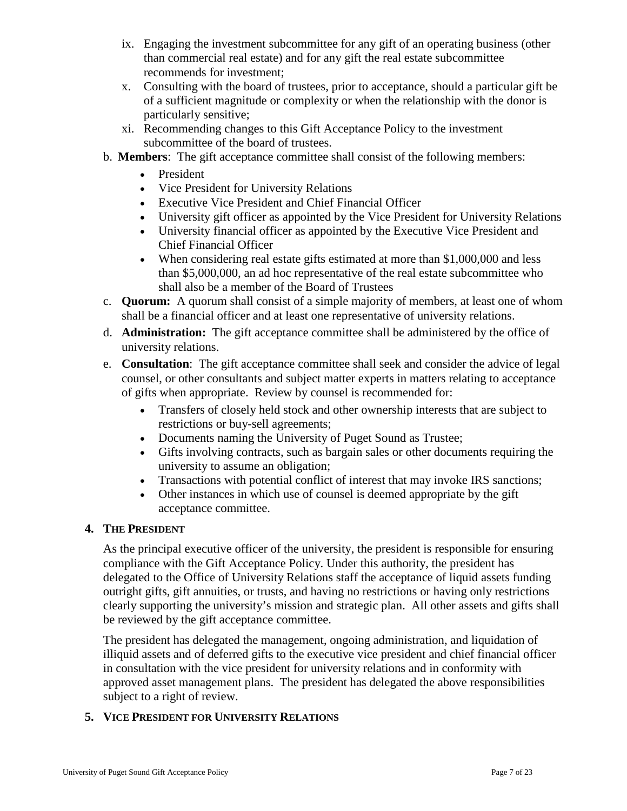- ix. Engaging the investment subcommittee for any gift of an operating business (other than commercial real estate) and for any gift the real estate subcommittee recommends for investment;
- x. Consulting with the board of trustees, prior to acceptance, should a particular gift be of a sufficient magnitude or complexity or when the relationship with the donor is particularly sensitive;
- xi. Recommending changes to this Gift Acceptance Policy to the investment subcommittee of the board of trustees.
- b. **Members**: The gift acceptance committee shall consist of the following members:
	- President
	- Vice President for University Relations
	- Executive Vice President and Chief Financial Officer
	- University gift officer as appointed by the Vice President for University Relations
	- University financial officer as appointed by the Executive Vice President and Chief Financial Officer
	- When considering real estate gifts estimated at more than \$1,000,000 and less than \$5,000,000, an ad hoc representative of the real estate subcommittee who shall also be a member of the Board of Trustees
- c. **Quorum:** A quorum shall consist of a simple majority of members, at least one of whom shall be a financial officer and at least one representative of university relations.
- d. **Administration:** The gift acceptance committee shall be administered by the office of university relations.
- e. **Consultation**: The gift acceptance committee shall seek and consider the advice of legal counsel, or other consultants and subject matter experts in matters relating to acceptance of gifts when appropriate. Review by counsel is recommended for:
	- Transfers of closely held stock and other ownership interests that are subject to restrictions or buy-sell agreements;
	- Documents naming the University of Puget Sound as Trustee;
	- Gifts involving contracts, such as bargain sales or other documents requiring the university to assume an obligation;
	- Transactions with potential conflict of interest that may invoke IRS sanctions;
	- Other instances in which use of counsel is deemed appropriate by the gift acceptance committee.

## <span id="page-6-0"></span>**4. THE PRESIDENT**

As the principal executive officer of the university, the president is responsible for ensuring compliance with the Gift Acceptance Policy. Under this authority, the president has delegated to the Office of University Relations staff the acceptance of liquid assets funding outright gifts, gift annuities, or trusts, and having no restrictions or having only restrictions clearly supporting the university's mission and strategic plan. All other assets and gifts shall be reviewed by the gift acceptance committee.

The president has delegated the management, ongoing administration, and liquidation of illiquid assets and of deferred gifts to the executive vice president and chief financial officer in consultation with the vice president for university relations and in conformity with approved asset management plans. The president has delegated the above responsibilities subject to a right of review.

## <span id="page-6-1"></span>**5. VICE PRESIDENT FOR UNIVERSITY RELATIONS**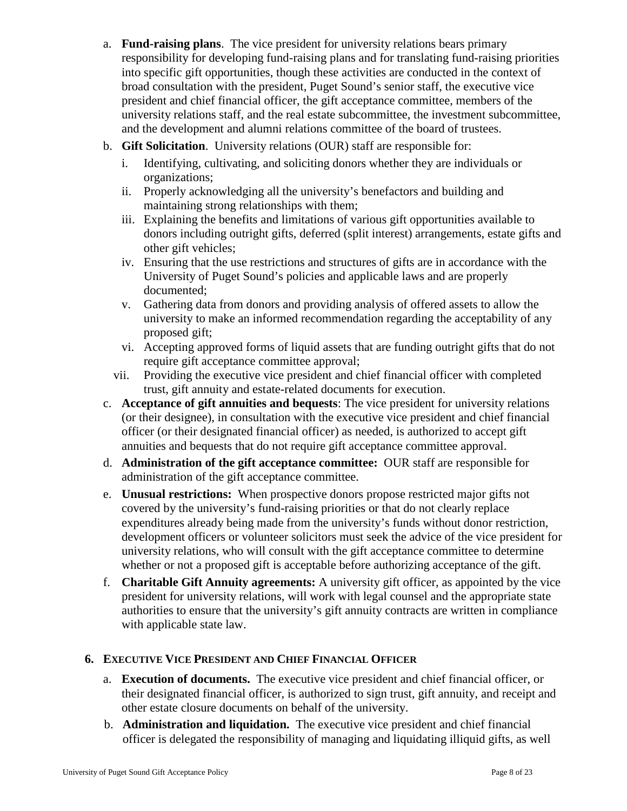- a. **Fund-raising plans**. The vice president for university relations bears primary responsibility for developing fund-raising plans and for translating fund-raising priorities into specific gift opportunities, though these activities are conducted in the context of broad consultation with the president, Puget Sound's senior staff, the executive vice president and chief financial officer, the gift acceptance committee, members of the university relations staff, and the real estate subcommittee, the investment subcommittee, and the development and alumni relations committee of the board of trustees.
- b. **Gift Solicitation**. University relations (OUR) staff are responsible for:
	- i. Identifying, cultivating, and soliciting donors whether they are individuals or organizations;
	- ii. Properly acknowledging all the university's benefactors and building and maintaining strong relationships with them;
	- iii. Explaining the benefits and limitations of various gift opportunities available to donors including outright gifts, deferred (split interest) arrangements, estate gifts and other gift vehicles;
	- iv. Ensuring that the use restrictions and structures of gifts are in accordance with the University of Puget Sound's policies and applicable laws and are properly documented;
	- v. Gathering data from donors and providing analysis of offered assets to allow the university to make an informed recommendation regarding the acceptability of any proposed gift;
	- vi. Accepting approved forms of liquid assets that are funding outright gifts that do not require gift acceptance committee approval;
	- vii. Providing the executive vice president and chief financial officer with completed trust, gift annuity and estate-related documents for execution.
- c. **Acceptance of gift annuities and bequests**: The vice president for university relations (or their designee), in consultation with the executive vice president and chief financial officer (or their designated financial officer) as needed, is authorized to accept gift annuities and bequests that do not require gift acceptance committee approval.
- d. **Administration of the gift acceptance committee:** OUR staff are responsible for administration of the gift acceptance committee.
- e. **Unusual restrictions:** When prospective donors propose restricted major gifts not covered by the university's fund-raising priorities or that do not clearly replace expenditures already being made from the university's funds without donor restriction, development officers or volunteer solicitors must seek the advice of the vice president for university relations, who will consult with the gift acceptance committee to determine whether or not a proposed gift is acceptable before authorizing acceptance of the gift.
- f. **Charitable Gift Annuity agreements:** A university gift officer, as appointed by the vice president for university relations, will work with legal counsel and the appropriate state authorities to ensure that the university's gift annuity contracts are written in compliance with applicable state law.

## <span id="page-7-0"></span>**6. EXECUTIVE VICE PRESIDENT AND CHIEF FINANCIAL OFFICER**

- a. **Execution of documents.** The executive vice president and chief financial officer, or their designated financial officer, is authorized to sign trust, gift annuity, and receipt and other estate closure documents on behalf of the university.
- b. **Administration and liquidation.** The executive vice president and chief financial officer is delegated the responsibility of managing and liquidating illiquid gifts, as well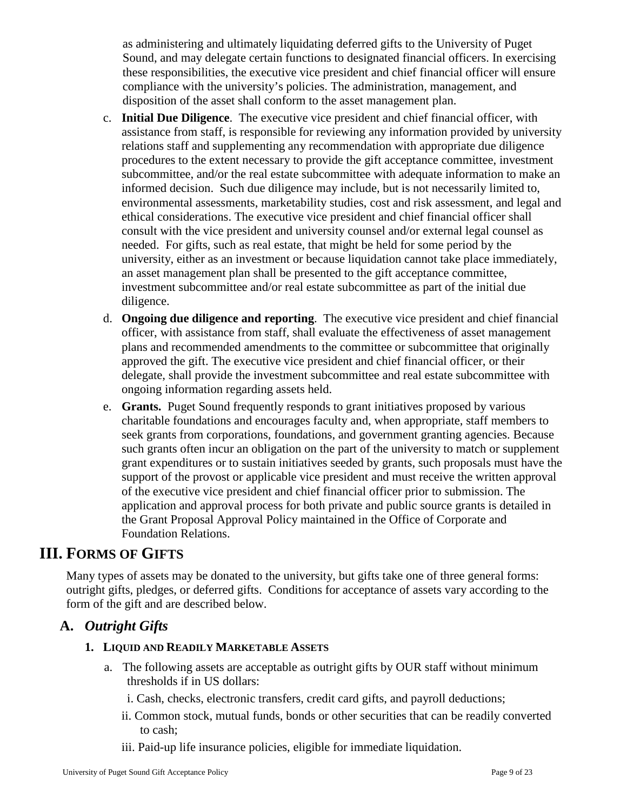as administering and ultimately liquidating deferred gifts to the University of Puget Sound, and may delegate certain functions to designated financial officers. In exercising these responsibilities, the executive vice president and chief financial officer will ensure compliance with the university's policies. The administration, management, and disposition of the asset shall conform to the asset management plan.

- c. **Initial Due Diligence**. The executive vice president and chief financial officer, with assistance from staff, is responsible for reviewing any information provided by university relations staff and supplementing any recommendation with appropriate due diligence procedures to the extent necessary to provide the gift acceptance committee, investment subcommittee, and/or the real estate subcommittee with adequate information to make an informed decision. Such due diligence may include, but is not necessarily limited to, environmental assessments, marketability studies, cost and risk assessment, and legal and ethical considerations. The executive vice president and chief financial officer shall consult with the vice president and university counsel and/or external legal counsel as needed. For gifts, such as real estate, that might be held for some period by the university, either as an investment or because liquidation cannot take place immediately, an asset management plan shall be presented to the gift acceptance committee, investment subcommittee and/or real estate subcommittee as part of the initial due diligence.
- d. **Ongoing due diligence and reporting**. The executive vice president and chief financial officer, with assistance from staff, shall evaluate the effectiveness of asset management plans and recommended amendments to the committee or subcommittee that originally approved the gift. The executive vice president and chief financial officer, or their delegate, shall provide the investment subcommittee and real estate subcommittee with ongoing information regarding assets held.
- e. **Grants.** Puget Sound frequently responds to grant initiatives proposed by various charitable foundations and encourages faculty and, when appropriate, staff members to seek grants from corporations, foundations, and government granting agencies. Because such grants often incur an obligation on the part of the university to match or supplement grant expenditures or to sustain initiatives seeded by grants, such proposals must have the support of the provost or applicable vice president and must receive the written approval of the executive vice president and chief financial officer prior to submission. The application and approval process for both private and public source grants is detailed in the Grant Proposal Approval Policy maintained in the Office of Corporate and Foundation Relations.

## <span id="page-8-0"></span>**III. FORMS OF GIFTS**

Many types of assets may be donated to the university, but gifts take one of three general forms: outright gifts, pledges, or deferred gifts. Conditions for acceptance of assets vary according to the form of the gift and are described below.

## <span id="page-8-2"></span><span id="page-8-1"></span>**A.** *Outright Gifts*

## **1. LIQUID AND READILY MARKETABLE ASSETS**

- a. The following assets are acceptable as outright gifts by OUR staff without minimum thresholds if in US dollars:
	- i. Cash, checks, electronic transfers, credit card gifts, and payroll deductions;
	- ii. Common stock, mutual funds, bonds or other securities that can be readily converted to cash;
	- iii. Paid-up life insurance policies, eligible for immediate liquidation.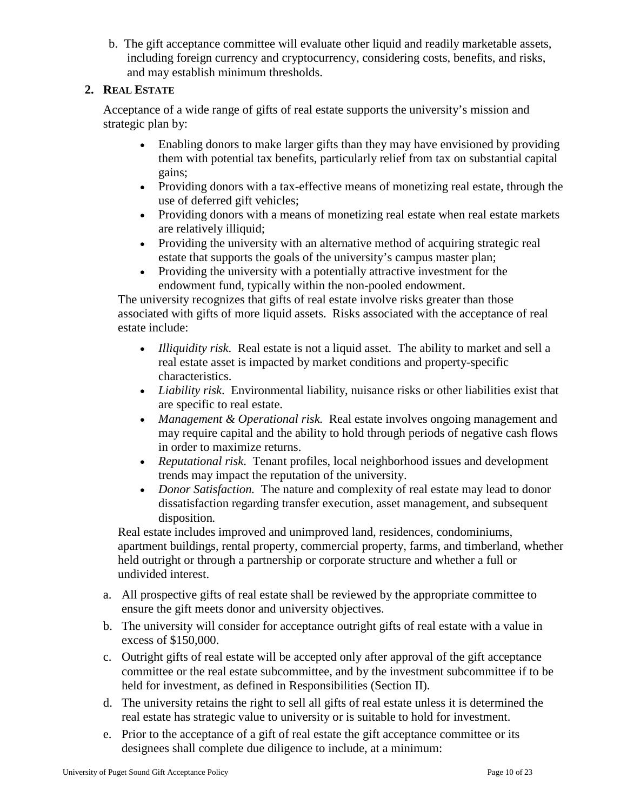b. The gift acceptance committee will evaluate other liquid and readily marketable assets, including foreign currency and cryptocurrency, considering costs, benefits, and risks, and may establish minimum thresholds.

## <span id="page-9-0"></span>**2. REAL ESTATE**

Acceptance of a wide range of gifts of real estate supports the university's mission and strategic plan by:

- Enabling donors to make larger gifts than they may have envisioned by providing them with potential tax benefits, particularly relief from tax on substantial capital gains;
- Providing donors with a tax-effective means of monetizing real estate, through the use of deferred gift vehicles;
- Providing donors with a means of monetizing real estate when real estate markets are relatively illiquid;
- Providing the university with an alternative method of acquiring strategic real estate that supports the goals of the university's campus master plan;
- Providing the university with a potentially attractive investment for the endowment fund, typically within the non-pooled endowment.

The university recognizes that gifts of real estate involve risks greater than those associated with gifts of more liquid assets. Risks associated with the acceptance of real estate include:

- *Illiquidity risk*. Real estate is not a liquid asset. The ability to market and sell a real estate asset is impacted by market conditions and property-specific characteristics.
- *Liability risk*. Environmental liability, nuisance risks or other liabilities exist that are specific to real estate.
- *Management & Operational risk.* Real estate involves ongoing management and may require capital and the ability to hold through periods of negative cash flows in order to maximize returns.
- *Reputational risk*. Tenant profiles, local neighborhood issues and development trends may impact the reputation of the university.
- *Donor Satisfaction*. The nature and complexity of real estate may lead to donor dissatisfaction regarding transfer execution, asset management, and subsequent disposition*.*

Real estate includes improved and unimproved land, residences, condominiums, apartment buildings, rental property, commercial property, farms, and timberland, whether held outright or through a partnership or corporate structure and whether a full or undivided interest.

- a. All prospective gifts of real estate shall be reviewed by the appropriate committee to ensure the gift meets donor and university objectives.
- b. The university will consider for acceptance outright gifts of real estate with a value in excess of \$150,000.
- c. Outright gifts of real estate will be accepted only after approval of the gift acceptance committee or the real estate subcommittee, and by the investment subcommittee if to be held for investment, as defined in Responsibilities (Section II).
- d. The university retains the right to sell all gifts of real estate unless it is determined the real estate has strategic value to university or is suitable to hold for investment.
- e. Prior to the acceptance of a gift of real estate the gift acceptance committee or its designees shall complete due diligence to include, at a minimum: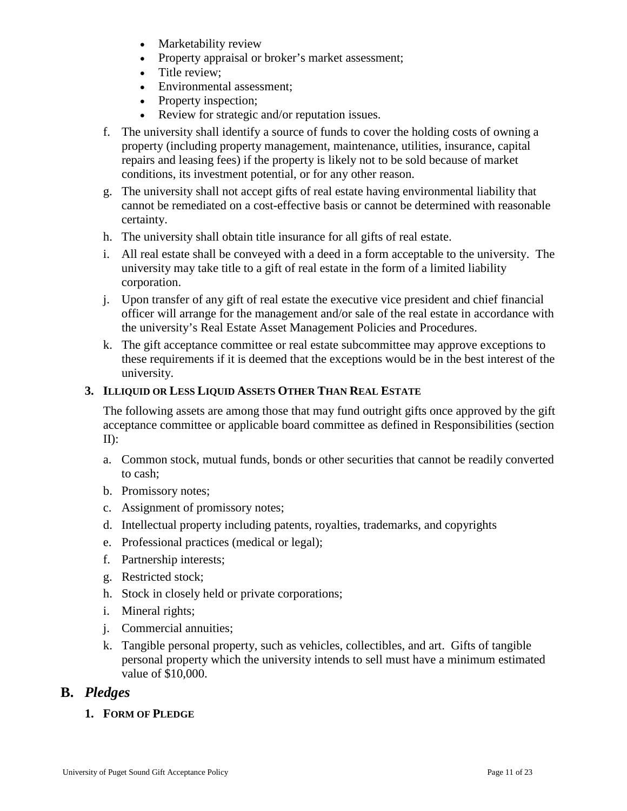- Marketability review
- Property appraisal or broker's market assessment;
- Title review;
- Environmental assessment:
- Property inspection;
- Review for strategic and/or reputation issues.
- f. The university shall identify a source of funds to cover the holding costs of owning a property (including property management, maintenance, utilities, insurance, capital repairs and leasing fees) if the property is likely not to be sold because of market conditions, its investment potential, or for any other reason.
- g. The university shall not accept gifts of real estate having environmental liability that cannot be remediated on a cost-effective basis or cannot be determined with reasonable certainty.
- h. The university shall obtain title insurance for all gifts of real estate.
- i. All real estate shall be conveyed with a deed in a form acceptable to the university. The university may take title to a gift of real estate in the form of a limited liability corporation.
- j. Upon transfer of any gift of real estate the executive vice president and chief financial officer will arrange for the management and/or sale of the real estate in accordance with the university's Real Estate Asset Management Policies and Procedures.
- k. The gift acceptance committee or real estate subcommittee may approve exceptions to these requirements if it is deemed that the exceptions would be in the best interest of the university.

#### <span id="page-10-0"></span>**3. ILLIQUID OR LESS LIQUID ASSETS OTHER THAN REAL ESTATE**

The following assets are among those that may fund outright gifts once approved by the gift acceptance committee or applicable board committee as defined in Responsibilities (section II):

- a. Common stock, mutual funds, bonds or other securities that cannot be readily converted to cash;
- b. Promissory notes;
- c. Assignment of promissory notes;
- d. Intellectual property including patents, royalties, trademarks, and copyrights
- e. Professional practices (medical or legal);
- f. Partnership interests;
- g. Restricted stock;
- h. Stock in closely held or private corporations;
- i. Mineral rights;
- j. Commercial annuities;
- k. Tangible personal property, such as vehicles, collectibles, and art. Gifts of tangible personal property which the university intends to sell must have a minimum estimated value of \$10,000.

## <span id="page-10-2"></span><span id="page-10-1"></span>**B.** *Pledges*

**1. FORM OF PLEDGE**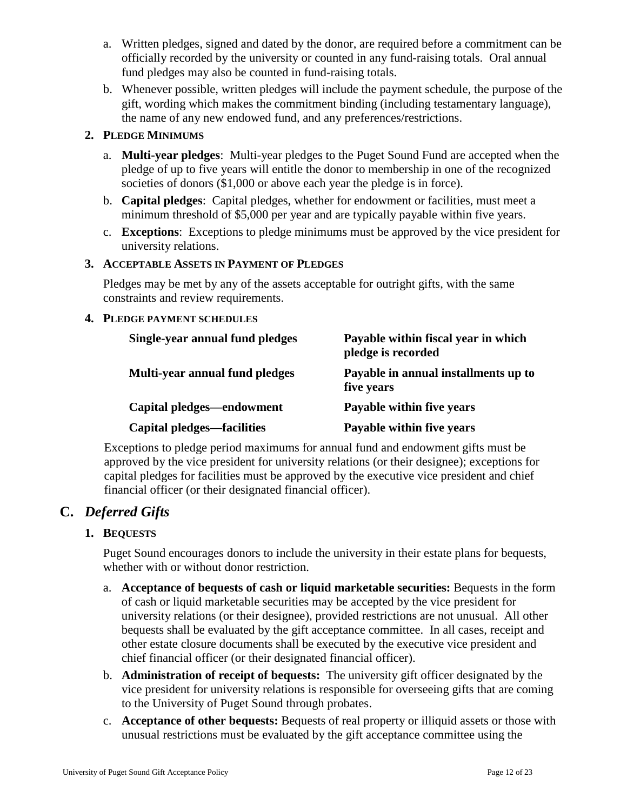- a. Written pledges, signed and dated by the donor, are required before a commitment can be officially recorded by the university or counted in any fund-raising totals. Oral annual fund pledges may also be counted in fund-raising totals.
- b. Whenever possible, written pledges will include the payment schedule, the purpose of the gift, wording which makes the commitment binding (including testamentary language), the name of any new endowed fund, and any preferences/restrictions.

### <span id="page-11-0"></span>**2. PLEDGE MINIMUMS**

- a. **Multi-year pledges**: Multi-year pledges to the Puget Sound Fund are accepted when the pledge of up to five years will entitle the donor to membership in one of the recognized societies of donors (\$1,000 or above each year the pledge is in force).
- b. **Capital pledges**: Capital pledges, whether for endowment or facilities, must meet a minimum threshold of \$5,000 per year and are typically payable within five years.
- c. **Exceptions**: Exceptions to pledge minimums must be approved by the vice president for university relations.

#### <span id="page-11-1"></span>**3. ACCEPTABLE ASSETS IN PAYMENT OF PLEDGES**

Pledges may be met by any of the assets acceptable for outright gifts, with the same constraints and review requirements.

#### <span id="page-11-2"></span>**4. PLEDGE PAYMENT SCHEDULES**

| Single-year annual fund pledges | Payable within fiscal year in which<br>pledge is recorded |  |  |  |
|---------------------------------|-----------------------------------------------------------|--|--|--|
| Multi-year annual fund pledges  | Payable in annual installments up to<br>five years        |  |  |  |
| Capital pledges—endowment       | Payable within five years                                 |  |  |  |
| Capital pledges—facilities      | Payable within five years                                 |  |  |  |

Exceptions to pledge period maximums for annual fund and endowment gifts must be approved by the vice president for university relations (or their designee); exceptions for capital pledges for facilities must be approved by the executive vice president and chief financial officer (or their designated financial officer).

## <span id="page-11-4"></span><span id="page-11-3"></span>**C.** *Deferred Gifts*

## **1. BEQUESTS**

Puget Sound encourages donors to include the university in their estate plans for bequests, whether with or without donor restriction.

- a. **Acceptance of bequests of cash or liquid marketable securities:** Bequests in the form of cash or liquid marketable securities may be accepted by the vice president for university relations (or their designee), provided restrictions are not unusual. All other bequests shall be evaluated by the gift acceptance committee. In all cases, receipt and other estate closure documents shall be executed by the executive vice president and chief financial officer (or their designated financial officer).
- b. **Administration of receipt of bequests:** The university gift officer designated by the vice president for university relations is responsible for overseeing gifts that are coming to the University of Puget Sound through probates.
- c. **Acceptance of other bequests:** Bequests of real property or illiquid assets or those with unusual restrictions must be evaluated by the gift acceptance committee using the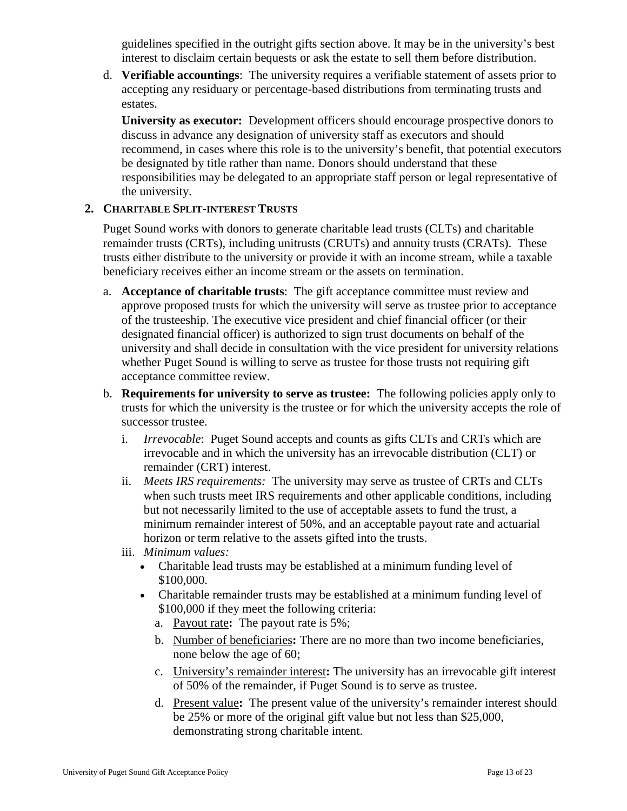guidelines specified in the outright gifts section above. It may be in the university's best interest to disclaim certain bequests or ask the estate to sell them before distribution.

d. **Verifiable accountings**: The university requires a verifiable statement of assets prior to accepting any residuary or percentage-based distributions from terminating trusts and estates.

**University as executor:** Development officers should encourage prospective donors to discuss in advance any designation of university staff as executors and should recommend, in cases where this role is to the university's benefit, that potential executors be designated by title rather than name. Donors should understand that these responsibilities may be delegated to an appropriate staff person or legal representative of the university.

## <span id="page-12-0"></span>**2. CHARITABLE SPLIT-INTEREST TRUSTS**

Puget Sound works with donors to generate charitable lead trusts (CLTs) and charitable remainder trusts (CRTs), including unitrusts (CRUTs) and annuity trusts (CRATs). These trusts either distribute to the university or provide it with an income stream, while a taxable beneficiary receives either an income stream or the assets on termination.

- a. **Acceptance of charitable trusts**: The gift acceptance committee must review and approve proposed trusts for which the university will serve as trustee prior to acceptance of the trusteeship. The executive vice president and chief financial officer (or their designated financial officer) is authorized to sign trust documents on behalf of the university and shall decide in consultation with the vice president for university relations whether Puget Sound is willing to serve as trustee for those trusts not requiring gift acceptance committee review.
- b. **Requirements for university to serve as trustee:** The following policies apply only to trusts for which the university is the trustee or for which the university accepts the role of successor trustee.
	- i. *Irrevocable*: Puget Sound accepts and counts as gifts CLTs and CRTs which are irrevocable and in which the university has an irrevocable distribution (CLT) or remainder (CRT) interest.
	- ii. *Meets IRS requirements:* The university may serve as trustee of CRTs and CLTs when such trusts meet IRS requirements and other applicable conditions, including but not necessarily limited to the use of acceptable assets to fund the trust, a minimum remainder interest of 50%, and an acceptable payout rate and actuarial horizon or term relative to the assets gifted into the trusts.
	- iii. *Minimum values:* 
		- Charitable lead trusts may be established at a minimum funding level of \$100,000.
		- Charitable remainder trusts may be established at a minimum funding level of \$100,000 if they meet the following criteria:
			- a. Payout rate**:** The payout rate is 5%;
			- b. Number of beneficiaries**:** There are no more than two income beneficiaries, none below the age of 60;
			- c. University's remainder interest**:** The university has an irrevocable gift interest of 50% of the remainder, if Puget Sound is to serve as trustee.
			- d. Present value**:** The present value of the university's remainder interest should be 25% or more of the original gift value but not less than \$25,000, demonstrating strong charitable intent.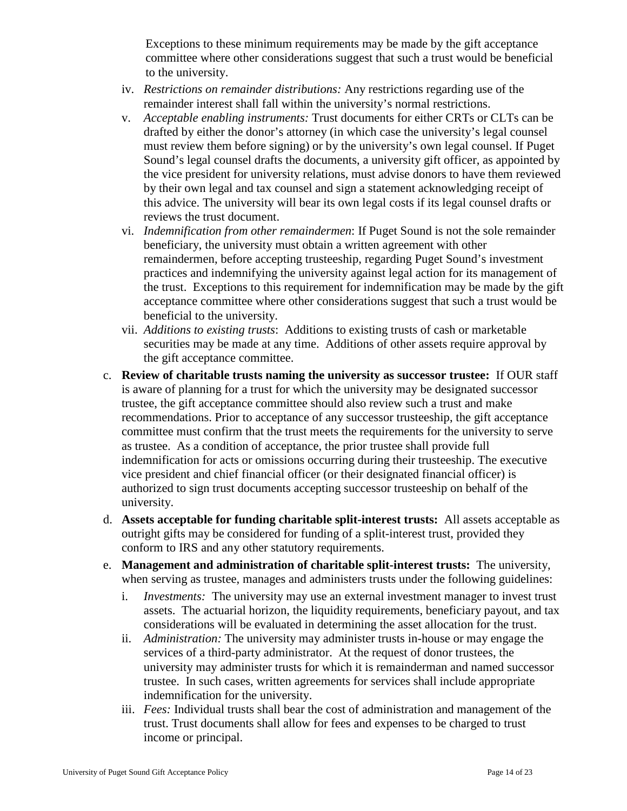Exceptions to these minimum requirements may be made by the gift acceptance committee where other considerations suggest that such a trust would be beneficial to the university.

- iv. *Restrictions on remainder distributions:* Any restrictions regarding use of the remainder interest shall fall within the university's normal restrictions.
- v. *Acceptable enabling instruments:* Trust documents for either CRTs or CLTs can be drafted by either the donor's attorney (in which case the university's legal counsel must review them before signing) or by the university's own legal counsel. If Puget Sound's legal counsel drafts the documents, a university gift officer, as appointed by the vice president for university relations, must advise donors to have them reviewed by their own legal and tax counsel and sign a statement acknowledging receipt of this advice. The university will bear its own legal costs if its legal counsel drafts or reviews the trust document.
- vi. *Indemnification from other remaindermen*: If Puget Sound is not the sole remainder beneficiary, the university must obtain a written agreement with other remaindermen, before accepting trusteeship, regarding Puget Sound's investment practices and indemnifying the university against legal action for its management of the trust. Exceptions to this requirement for indemnification may be made by the gift acceptance committee where other considerations suggest that such a trust would be beneficial to the university.
- vii. *Additions to existing trusts*: Additions to existing trusts of cash or marketable securities may be made at any time. Additions of other assets require approval by the gift acceptance committee.
- c. **Review of charitable trusts naming the university as successor trustee:** If OUR staff is aware of planning for a trust for which the university may be designated successor trustee, the gift acceptance committee should also review such a trust and make recommendations. Prior to acceptance of any successor trusteeship, the gift acceptance committee must confirm that the trust meets the requirements for the university to serve as trustee. As a condition of acceptance, the prior trustee shall provide full indemnification for acts or omissions occurring during their trusteeship. The executive vice president and chief financial officer (or their designated financial officer) is authorized to sign trust documents accepting successor trusteeship on behalf of the university.
- d. **Assets acceptable for funding charitable split-interest trusts:** All assets acceptable as outright gifts may be considered for funding of a split-interest trust, provided they conform to IRS and any other statutory requirements.
- e. **Management and administration of charitable split-interest trusts:** The university, when serving as trustee, manages and administers trusts under the following guidelines:
	- i. *Investments:* The university may use an external investment manager to invest trust assets. The actuarial horizon, the liquidity requirements, beneficiary payout, and tax considerations will be evaluated in determining the asset allocation for the trust.
	- ii. *Administration:* The university may administer trusts in-house or may engage the services of a third-party administrator. At the request of donor trustees, the university may administer trusts for which it is remainderman and named successor trustee. In such cases, written agreements for services shall include appropriate indemnification for the university.
	- iii. *Fees:* Individual trusts shall bear the cost of administration and management of the trust. Trust documents shall allow for fees and expenses to be charged to trust income or principal.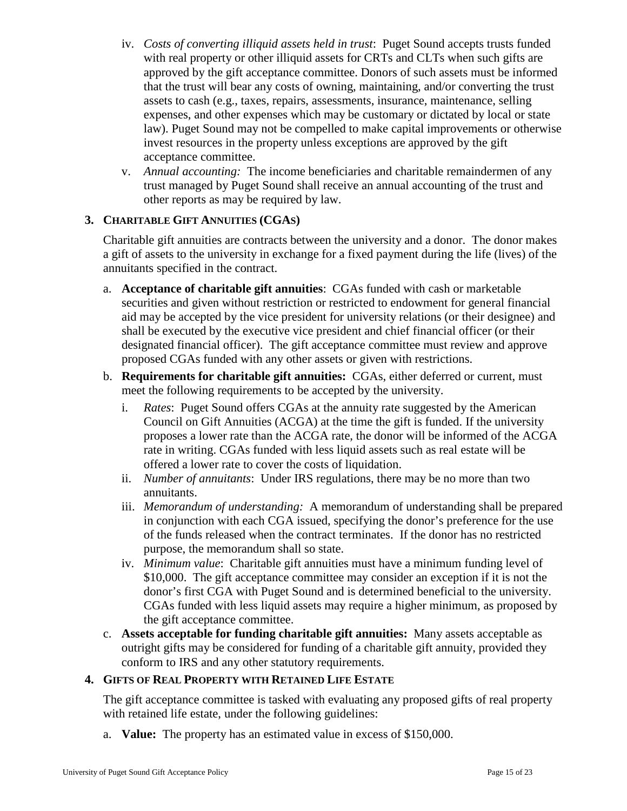- iv. *Costs of converting illiquid assets held in trust*: Puget Sound accepts trusts funded with real property or other illiquid assets for CRTs and CLTs when such gifts are approved by the gift acceptance committee. Donors of such assets must be informed that the trust will bear any costs of owning, maintaining, and/or converting the trust assets to cash (e.g., taxes, repairs, assessments, insurance, maintenance, selling expenses, and other expenses which may be customary or dictated by local or state law). Puget Sound may not be compelled to make capital improvements or otherwise invest resources in the property unless exceptions are approved by the gift acceptance committee.
- v. *Annual accounting:* The income beneficiaries and charitable remaindermen of any trust managed by Puget Sound shall receive an annual accounting of the trust and other reports as may be required by law.

#### <span id="page-14-0"></span>**3. CHARITABLE GIFT ANNUITIES (CGAS)**

Charitable gift annuities are contracts between the university and a donor. The donor makes a gift of assets to the university in exchange for a fixed payment during the life (lives) of the annuitants specified in the contract.

- a. **Acceptance of charitable gift annuities**: CGAs funded with cash or marketable securities and given without restriction or restricted to endowment for general financial aid may be accepted by the vice president for university relations (or their designee) and shall be executed by the executive vice president and chief financial officer (or their designated financial officer). The gift acceptance committee must review and approve proposed CGAs funded with any other assets or given with restrictions.
- b. **Requirements for charitable gift annuities:** CGAs, either deferred or current, must meet the following requirements to be accepted by the university.
	- i. *Rates*: Puget Sound offers CGAs at the annuity rate suggested by the American Council on Gift Annuities (ACGA) at the time the gift is funded. If the university proposes a lower rate than the ACGA rate, the donor will be informed of the ACGA rate in writing. CGAs funded with less liquid assets such as real estate will be offered a lower rate to cover the costs of liquidation.
	- ii. *Number of annuitants*: Under IRS regulations, there may be no more than two annuitants.
	- iii. *Memorandum of understanding:* A memorandum of understanding shall be prepared in conjunction with each CGA issued, specifying the donor's preference for the use of the funds released when the contract terminates. If the donor has no restricted purpose, the memorandum shall so state.
	- iv. *Minimum value*: Charitable gift annuities must have a minimum funding level of \$10,000. The gift acceptance committee may consider an exception if it is not the donor's first CGA with Puget Sound and is determined beneficial to the university. CGAs funded with less liquid assets may require a higher minimum, as proposed by the gift acceptance committee.
- c. **Assets acceptable for funding charitable gift annuities:** Many assets acceptable as outright gifts may be considered for funding of a charitable gift annuity, provided they conform to IRS and any other statutory requirements.

#### <span id="page-14-1"></span>**4. GIFTS OF REAL PROPERTY WITH RETAINED LIFE ESTATE**

The gift acceptance committee is tasked with evaluating any proposed gifts of real property with retained life estate, under the following guidelines:

a. **Value:** The property has an estimated value in excess of \$150,000.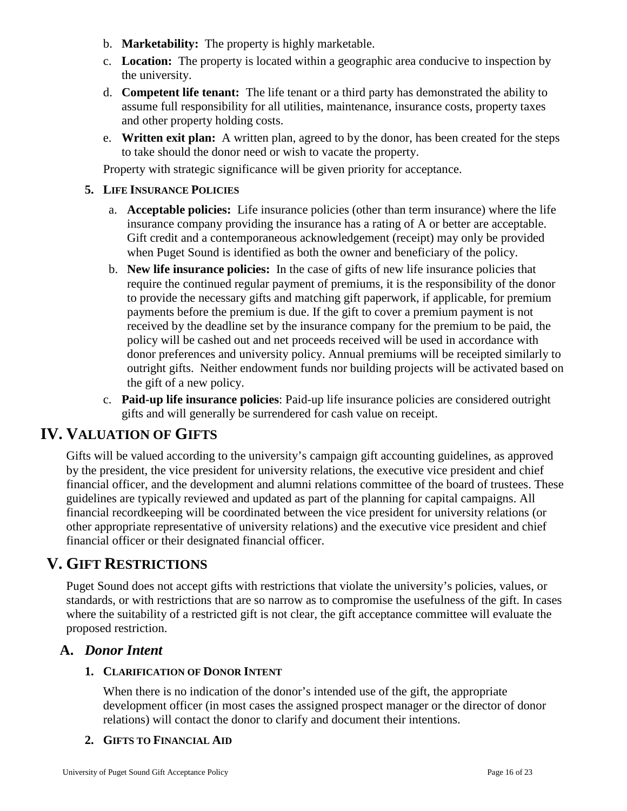- b. **Marketability:** The property is highly marketable.
- c. **Location:** The property is located within a geographic area conducive to inspection by the university.
- d. **Competent life tenant:** The life tenant or a third party has demonstrated the ability to assume full responsibility for all utilities, maintenance, insurance costs, property taxes and other property holding costs.
- e. **Written exit plan:** A written plan, agreed to by the donor, has been created for the steps to take should the donor need or wish to vacate the property.

Property with strategic significance will be given priority for acceptance.

#### <span id="page-15-0"></span>**5. LIFE INSURANCE POLICIES**

- a. **Acceptable policies:** Life insurance policies (other than term insurance) where the life insurance company providing the insurance has a rating of A or better are acceptable. Gift credit and a contemporaneous acknowledgement (receipt) may only be provided when Puget Sound is identified as both the owner and beneficiary of the policy.
- b. **New life insurance policies:** In the case of gifts of new life insurance policies that require the continued regular payment of premiums, it is the responsibility of the donor to provide the necessary gifts and matching gift paperwork, if applicable, for premium payments before the premium is due. If the gift to cover a premium payment is not received by the deadline set by the insurance company for the premium to be paid, the policy will be cashed out and net proceeds received will be used in accordance with donor preferences and university policy. Annual premiums will be receipted similarly to outright gifts. Neither endowment funds nor building projects will be activated based on the gift of a new policy.
- c. **Paid-up life insurance policies**: Paid-up life insurance policies are considered outright gifts and will generally be surrendered for cash value on receipt.

## <span id="page-15-1"></span>**IV. VALUATION OF GIFTS**

Gifts will be valued according to the university's campaign gift accounting guidelines, as approved by the president, the vice president for university relations, the executive vice president and chief financial officer, and the development and alumni relations committee of the board of trustees. These guidelines are typically reviewed and updated as part of the planning for capital campaigns. All financial recordkeeping will be coordinated between the vice president for university relations (or other appropriate representative of university relations) and the executive vice president and chief financial officer or their designated financial officer.

## <span id="page-15-2"></span>**V. GIFT RESTRICTIONS**

Puget Sound does not accept gifts with restrictions that violate the university's policies, values, or standards, or with restrictions that are so narrow as to compromise the usefulness of the gift. In cases where the suitability of a restricted gift is not clear, the gift acceptance committee will evaluate the proposed restriction.

## <span id="page-15-4"></span><span id="page-15-3"></span>**A.** *Donor Intent*

#### **1. CLARIFICATION OF DONOR INTENT**

When there is no indication of the donor's intended use of the gift, the appropriate development officer (in most cases the assigned prospect manager or the director of donor relations) will contact the donor to clarify and document their intentions.

#### <span id="page-15-5"></span>**2. GIFTS TO FINANCIAL AID**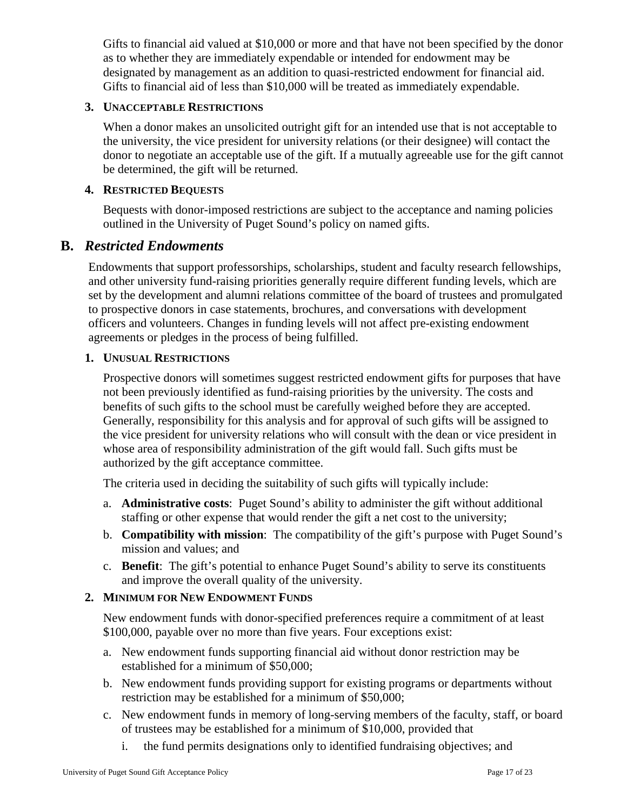Gifts to financial aid valued at \$10,000 or more and that have not been specified by the donor as to whether they are immediately expendable or intended for endowment may be designated by management as an addition to quasi-restricted endowment for financial aid. Gifts to financial aid of less than \$10,000 will be treated as immediately expendable.

#### <span id="page-16-0"></span>**3. UNACCEPTABLE RESTRICTIONS**

When a donor makes an unsolicited outright gift for an intended use that is not acceptable to the university, the vice president for university relations (or their designee) will contact the donor to negotiate an acceptable use of the gift. If a mutually agreeable use for the gift cannot be determined, the gift will be returned.

#### <span id="page-16-1"></span>**4. RESTRICTED BEQUESTS**

Bequests with donor-imposed restrictions are subject to the acceptance and naming policies outlined in the University of Puget Sound's policy on named gifts.

### <span id="page-16-2"></span>**B.** *Restricted Endowments*

Endowments that support professorships, scholarships, student and faculty research fellowships, and other university fund-raising priorities generally require different funding levels, which are set by the development and alumni relations committee of the board of trustees and promulgated to prospective donors in case statements, brochures, and conversations with development officers and volunteers. Changes in funding levels will not affect pre-existing endowment agreements or pledges in the process of being fulfilled.

### <span id="page-16-3"></span>**1. UNUSUAL RESTRICTIONS**

Prospective donors will sometimes suggest restricted endowment gifts for purposes that have not been previously identified as fund-raising priorities by the university. The costs and benefits of such gifts to the school must be carefully weighed before they are accepted. Generally, responsibility for this analysis and for approval of such gifts will be assigned to the vice president for university relations who will consult with the dean or vice president in whose area of responsibility administration of the gift would fall. Such gifts must be authorized by the gift acceptance committee.

The criteria used in deciding the suitability of such gifts will typically include:

- a. **Administrative costs**: Puget Sound's ability to administer the gift without additional staffing or other expense that would render the gift a net cost to the university;
- b. **Compatibility with mission**: The compatibility of the gift's purpose with Puget Sound's mission and values; and
- c. **Benefit**: The gift's potential to enhance Puget Sound's ability to serve its constituents and improve the overall quality of the university.

#### <span id="page-16-4"></span>**2. MINIMUM FOR NEW ENDOWMENT FUNDS**

New endowment funds with donor-specified preferences require a commitment of at least \$100,000, payable over no more than five years. Four exceptions exist:

- a. New endowment funds supporting financial aid without donor restriction may be established for a minimum of \$50,000;
- b. New endowment funds providing support for existing programs or departments without restriction may be established for a minimum of \$50,000;
- c. New endowment funds in memory of long-serving members of the faculty, staff, or board of trustees may be established for a minimum of \$10,000, provided that
	- i. the fund permits designations only to identified fundraising objectives; and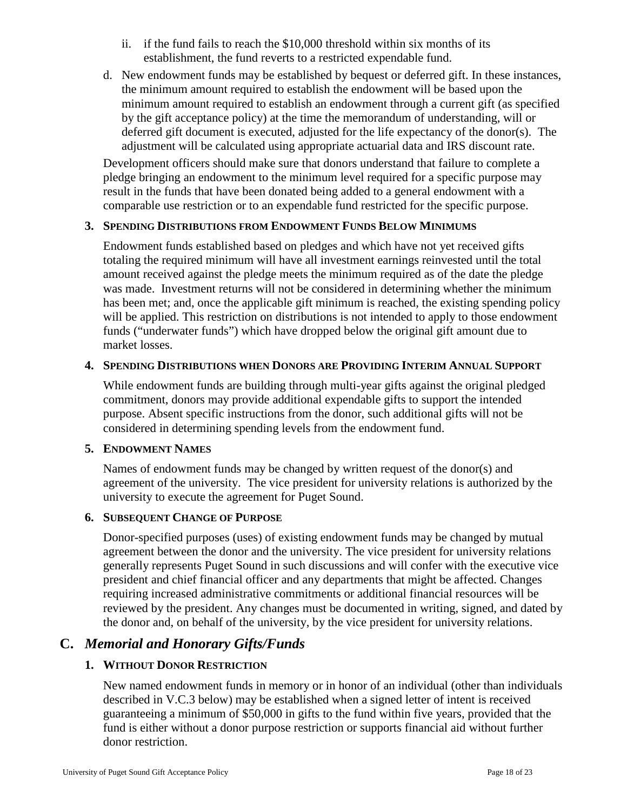- ii. if the fund fails to reach the \$10,000 threshold within six months of its establishment, the fund reverts to a restricted expendable fund.
- d. New endowment funds may be established by bequest or deferred gift. In these instances, the minimum amount required to establish the endowment will be based upon the minimum amount required to establish an endowment through a current gift (as specified by the gift acceptance policy) at the time the memorandum of understanding, will or deferred gift document is executed, adjusted for the life expectancy of the donor(s). The adjustment will be calculated using appropriate actuarial data and IRS discount rate.

<span id="page-17-0"></span>Development officers should make sure that donors understand that failure to complete a pledge bringing an endowment to the minimum level required for a specific purpose may result in the funds that have been donated being added to a general endowment with a comparable use restriction or to an expendable fund restricted for the specific purpose.

#### **3. SPENDING DISTRIBUTIONS FROM ENDOWMENT FUNDS BELOW MINIMUMS**

Endowment funds established based on pledges and which have not yet received gifts totaling the required minimum will have all investment earnings reinvested until the total amount received against the pledge meets the minimum required as of the date the pledge was made. Investment returns will not be considered in determining whether the minimum has been met; and, once the applicable gift minimum is reached, the existing spending policy will be applied. This restriction on distributions is not intended to apply to those endowment funds ("underwater funds") which have dropped below the original gift amount due to market losses.

#### <span id="page-17-1"></span>**4. SPENDING DISTRIBUTIONS WHEN DONORS ARE PROVIDING INTERIM ANNUAL SUPPORT**

While endowment funds are building through multi-year gifts against the original pledged commitment, donors may provide additional expendable gifts to support the intended purpose. Absent specific instructions from the donor, such additional gifts will not be considered in determining spending levels from the endowment fund.

#### <span id="page-17-2"></span>**5. ENDOWMENT NAMES**

Names of endowment funds may be changed by written request of the donor(s) and agreement of the university. The vice president for university relations is authorized by the university to execute the agreement for Puget Sound.

#### <span id="page-17-3"></span>**6. SUBSEQUENT CHANGE OF PURPOSE**

Donor-specified purposes (uses) of existing endowment funds may be changed by mutual agreement between the donor and the university. The vice president for university relations generally represents Puget Sound in such discussions and will confer with the executive vice president and chief financial officer and any departments that might be affected. Changes requiring increased administrative commitments or additional financial resources will be reviewed by the president. Any changes must be documented in writing, signed, and dated by the donor and, on behalf of the university, by the vice president for university relations.

## <span id="page-17-5"></span><span id="page-17-4"></span>**C.** *Memorial and Honorary Gifts/Funds*

## **1. WITHOUT DONOR RESTRICTION**

New named endowment funds in memory or in honor of an individual (other than individuals described in V.C.3 below) may be established when a signed letter of intent is received guaranteeing a minimum of \$50,000 in gifts to the fund within five years, provided that the fund is either without a donor purpose restriction or supports financial aid without further donor restriction.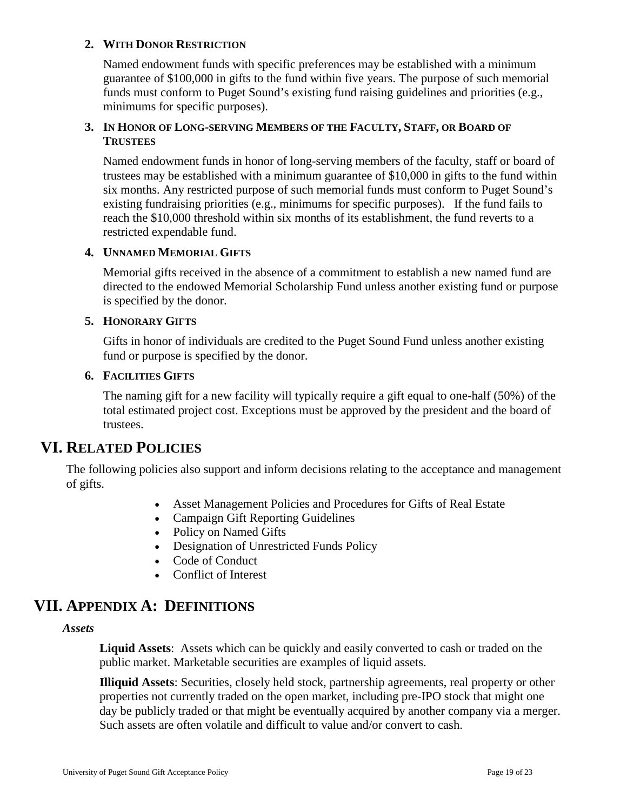#### <span id="page-18-0"></span>**2. WITH DONOR RESTRICTION**

Named endowment funds with specific preferences may be established with a minimum guarantee of \$100,000 in gifts to the fund within five years. The purpose of such memorial funds must conform to Puget Sound's existing fund raising guidelines and priorities (e.g., minimums for specific purposes).

#### <span id="page-18-1"></span>**3. IN HONOR OF LONG-SERVING MEMBERS OF THE FACULTY, STAFF, OR BOARD OF TRUSTEES**

Named endowment funds in honor of long-serving members of the faculty, staff or board of trustees may be established with a minimum guarantee of \$10,000 in gifts to the fund within six months. Any restricted purpose of such memorial funds must conform to Puget Sound's existing fundraising priorities (e.g., minimums for specific purposes). If the fund fails to reach the \$10,000 threshold within six months of its establishment, the fund reverts to a restricted expendable fund.

#### <span id="page-18-2"></span>**4. UNNAMED MEMORIAL GIFTS**

Memorial gifts received in the absence of a commitment to establish a new named fund are directed to the endowed Memorial Scholarship Fund unless another existing fund or purpose is specified by the donor.

#### <span id="page-18-3"></span>**5. HONORARY GIFTS**

Gifts in honor of individuals are credited to the Puget Sound Fund unless another existing fund or purpose is specified by the donor.

#### <span id="page-18-4"></span>**6. FACILITIES GIFTS**

The naming gift for a new facility will typically require a gift equal to one-half (50%) of the total estimated project cost. Exceptions must be approved by the president and the board of trustees.

## <span id="page-18-5"></span>**VI. RELATED POLICIES**

The following policies also support and inform decisions relating to the acceptance and management of gifts.

- Asset Management Policies and Procedures for Gifts of Real Estate
- Campaign Gift Reporting Guidelines
- Policy on Named Gifts
- Designation of Unrestricted Funds Policy
- Code of Conduct
- Conflict of Interest

## <span id="page-18-6"></span>**VII. APPENDIX A: DEFINITIONS**

#### *Assets*

**Liquid Assets**: Assets which can be quickly and easily converted to cash or traded on the public market. Marketable securities are examples of liquid assets.

**Illiquid Assets**: Securities, closely held stock, partnership agreements, real property or other properties not currently traded on the open market, including pre-IPO stock that might one day be publicly traded or that might be eventually acquired by another company via a merger. Such assets are often volatile and difficult to value and/or convert to cash.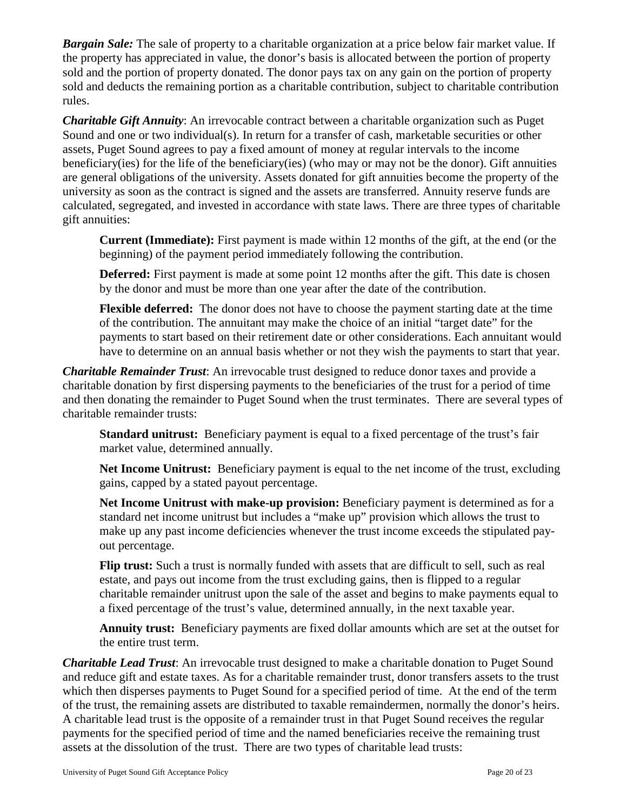*Bargain Sale:* The sale of property to a charitable organization at a price below fair market value. If the property has appreciated in value, the donor's basis is allocated between the portion of property sold and the portion of property donated. The donor pays tax on any gain on the portion of property sold and deducts the remaining portion as a charitable contribution, subject to charitable contribution rules.

*Charitable Gift Annuity*: An irrevocable contract between a charitable organization such as Puget Sound and one or two individual(s). In return for a transfer of cash, marketable securities or other assets, Puget Sound agrees to pay a fixed amount of money at regular intervals to the income beneficiary(ies) for the life of the beneficiary(ies) (who may or may not be the donor). Gift annuities are general obligations of the university. Assets donated for gift annuities become the property of the university as soon as the contract is signed and the assets are transferred. Annuity reserve funds are calculated, segregated, and invested in accordance with state laws. There are three types of charitable gift annuities:

**Current (Immediate):** First payment is made within 12 months of the gift, at the end (or the beginning) of the payment period immediately following the contribution.

**Deferred:** First payment is made at some point 12 months after the gift. This date is chosen by the donor and must be more than one year after the date of the contribution.

**Flexible deferred:** The donor does not have to choose the payment starting date at the time of the contribution. The annuitant may make the choice of an initial "target date" for the payments to start based on their retirement date or other considerations. Each annuitant would have to determine on an annual basis whether or not they wish the payments to start that year.

*Charitable Remainder Trust*: An irrevocable trust designed to reduce donor taxes and provide a charitable donation by first dispersing payments to the beneficiaries of the trust for a period of time and then donating the remainder to Puget Sound when the trust terminates. There are several types of charitable remainder trusts:

**Standard unitrust:** Beneficiary payment is equal to a fixed percentage of the trust's fair market value, determined annually.

**Net Income Unitrust:** Beneficiary payment is equal to the net income of the trust, excluding gains, capped by a stated payout percentage.

Net Income Unitrust with make-up provision: Beneficiary payment is determined as for a standard net income unitrust but includes a "make up" provision which allows the trust to make up any past income deficiencies whenever the trust income exceeds the stipulated payout percentage.

**Flip trust:** Such a trust is normally funded with assets that are difficult to sell, such as real estate, and pays out income from the trust excluding gains, then is flipped to a regular charitable remainder unitrust upon the sale of the asset and begins to make payments equal to a fixed percentage of the trust's value, determined annually, in the next taxable year.

**Annuity trust:** Beneficiary payments are fixed dollar amounts which are set at the outset for the entire trust term.

*Charitable Lead Trust*: An irrevocable trust designed to make a charitable donation to Puget Sound and reduce gift and estate taxes. As for a charitable remainder trust, donor transfers assets to the trust which then disperses payments to Puget Sound for a specified period of time. At the end of the term of the trust, the remaining assets are distributed to taxable remaindermen, normally the donor's heirs. A charitable lead trust is the opposite of a remainder trust in that Puget Sound receives the regular payments for the specified period of time and the named beneficiaries receive the remaining trust assets at the dissolution of the trust. There are two types of charitable lead trusts: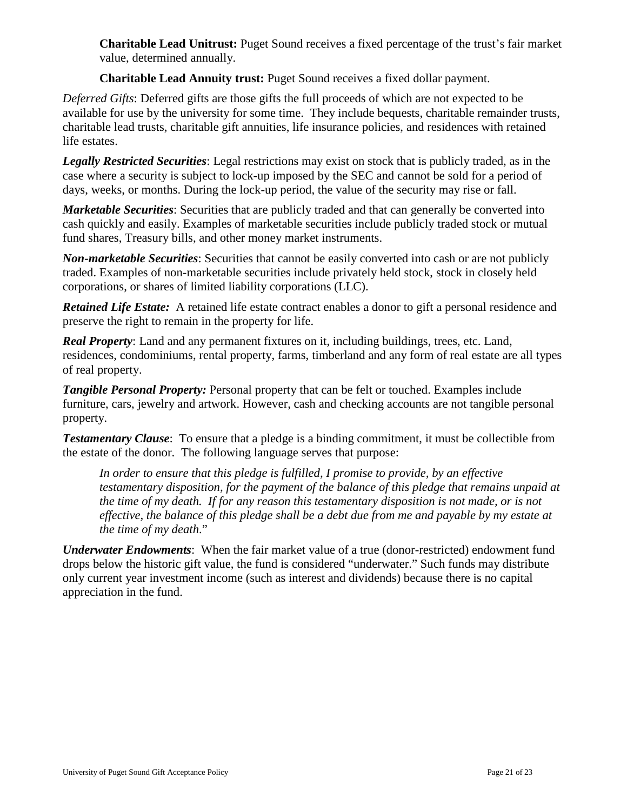**Charitable Lead Unitrust:** Puget Sound receives a fixed percentage of the trust's fair market value, determined annually.

**Charitable Lead Annuity trust:** Puget Sound receives a fixed dollar payment.

*Deferred Gifts*: Deferred gifts are those gifts the full proceeds of which are not expected to be available for use by the university for some time. They include bequests, charitable remainder trusts, charitable lead trusts, charitable gift annuities, life insurance policies, and residences with retained life estates.

*Legally Restricted Securities*: Legal restrictions may exist on stock that is publicly traded, as in the case where a security is subject to lock-up imposed by the SEC and cannot be sold for a period of days, weeks, or months. During the lock-up period, the value of the security may rise or fall.

*Marketable Securities*: Securities that are publicly traded and that can generally be converted into cash quickly and easily. Examples of marketable securities include publicly traded stock or mutual fund shares, Treasury bills, and other money market instruments.

*Non-marketable Securities*: Securities that cannot be easily converted into cash or are not publicly traded. Examples of non-marketable securities include privately held stock, stock in closely held corporations, or shares of limited liability corporations (LLC).

*Retained Life Estate:* A retained life estate contract enables a donor to gift a personal residence and preserve the right to remain in the property for life.

*Real Property*: Land and any permanent fixtures on it, including buildings, trees, etc. Land, residences, condominiums, rental property, farms, timberland and any form of real estate are all types of real property.

*Tangible Personal Property:* Personal property that can be felt or touched. Examples include furniture, cars, jewelry and artwork. However, cash and checking accounts are not tangible personal property.

*Testamentary Clause*: To ensure that a pledge is a binding commitment, it must be collectible from the estate of the donor. The following language serves that purpose:

*In order to ensure that this pledge is fulfilled, I promise to provide, by an effective testamentary disposition, for the payment of the balance of this pledge that remains unpaid at the time of my death. If for any reason this testamentary disposition is not made, or is not effective, the balance of this pledge shall be a debt due from me and payable by my estate at the time of my death*."

*Underwater Endowments*: When the fair market value of a true (donor-restricted) endowment fund drops below the historic gift value, the fund is considered "underwater." Such funds may distribute only current year investment income (such as interest and dividends) because there is no capital appreciation in the fund.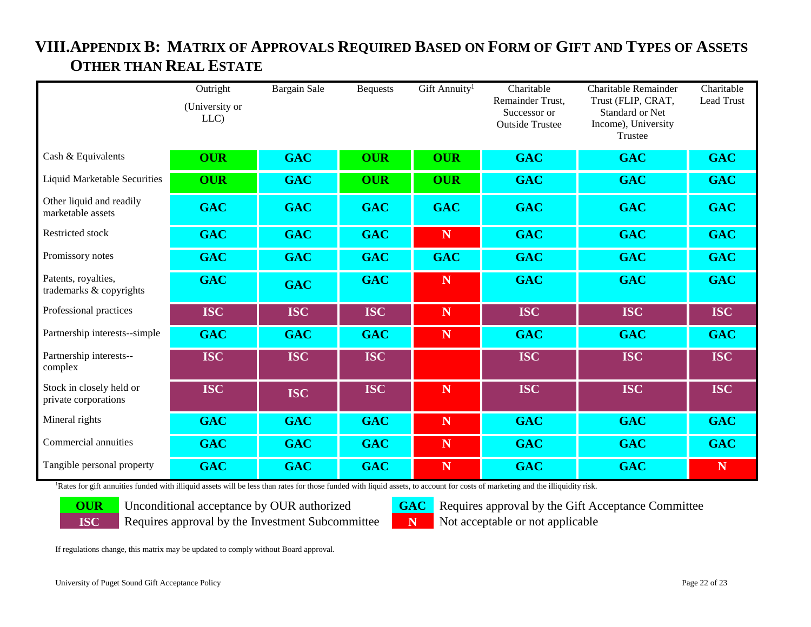<span id="page-21-0"></span>

|                                                  | Outright<br>(University or | <b>Bargain Sale</b> | <b>Bequests</b> | Gift Annuity <sup>1</sup> | Charitable<br>Remainder Trust,         | Charitable Remainder<br>Trust (FLIP, CRAT,               | Charitable<br>Lead Trust |
|--------------------------------------------------|----------------------------|---------------------|-----------------|---------------------------|----------------------------------------|----------------------------------------------------------|--------------------------|
|                                                  | LLC)                       |                     |                 |                           | Successor or<br><b>Outside Trustee</b> | <b>Standard or Net</b><br>Income), University<br>Trustee |                          |
| Cash & Equivalents                               | <b>OUR</b>                 | <b>GAC</b>          | <b>OUR</b>      | <b>OUR</b>                | <b>GAC</b>                             | <b>GAC</b>                                               | <b>GAC</b>               |
| <b>Liquid Marketable Securities</b>              | <b>OUR</b>                 | <b>GAC</b>          | <b>OUR</b>      | <b>OUR</b>                | <b>GAC</b>                             | <b>GAC</b>                                               | <b>GAC</b>               |
| Other liquid and readily<br>marketable assets    | <b>GAC</b>                 | <b>GAC</b>          | <b>GAC</b>      | <b>GAC</b>                | <b>GAC</b>                             | <b>GAC</b>                                               | <b>GAC</b>               |
| Restricted stock                                 | <b>GAC</b>                 | <b>GAC</b>          | <b>GAC</b>      | N                         | <b>GAC</b>                             | <b>GAC</b>                                               | <b>GAC</b>               |
| Promissory notes                                 | <b>GAC</b>                 | <b>GAC</b>          | <b>GAC</b>      | <b>GAC</b>                | <b>GAC</b>                             | <b>GAC</b>                                               | <b>GAC</b>               |
| Patents, royalties,<br>trademarks & copyrights   | <b>GAC</b>                 | <b>GAC</b>          | <b>GAC</b>      | $\mathbf N$               | <b>GAC</b>                             | <b>GAC</b>                                               | <b>GAC</b>               |
| Professional practices                           | <b>ISC</b>                 | <b>ISC</b>          | <b>ISC</b>      | $\mathbf N$               | <b>ISC</b>                             | <b>ISC</b>                                               | <b>ISC</b>               |
| Partnership interests--simple                    | <b>GAC</b>                 | <b>GAC</b>          | <b>GAC</b>      | $\mathbf N$               | <b>GAC</b>                             | <b>GAC</b>                                               | <b>GAC</b>               |
| Partnership interests--<br>complex               | <b>ISC</b>                 | <b>ISC</b>          | <b>ISC</b>      |                           | <b>ISC</b>                             | <b>ISC</b>                                               | <b>ISC</b>               |
| Stock in closely held or<br>private corporations | <b>ISC</b>                 | <b>ISC</b>          | <b>ISC</b>      | $\mathbf N$               | <b>ISC</b>                             | <b>ISC</b>                                               | <b>ISC</b>               |
| Mineral rights                                   | <b>GAC</b>                 | <b>GAC</b>          | <b>GAC</b>      | $\mathbf N$               | <b>GAC</b>                             | <b>GAC</b>                                               | <b>GAC</b>               |
| Commercial annuities                             | <b>GAC</b>                 | <b>GAC</b>          | <b>GAC</b>      | $\mathbf N$               | <b>GAC</b>                             | <b>GAC</b>                                               | <b>GAC</b>               |
| Tangible personal property                       | <b>GAC</b>                 | <b>GAC</b>          | <b>GAC</b>      | $\mathbf N$               | <b>GAC</b>                             | <b>GAC</b>                                               | ${\bf N}$                |

# **VIII.APPENDIX B: MATRIX OF APPROVALS REQUIRED BASED ON FORM OF GIFT AND TYPES OF ASSETS OTHER THAN REAL ESTATE**

Rates for gift annuities funded with illiquid assets will be less than rates for those funded with liquid assets, to account for costs of marketing and the illiquidity risk.



**ISC** Requires approval by the Investment Subcommittee **N** Not acceptable or not applicable

**OUR** Unconditional acceptance by OUR authorized **GAC** Requires approval by the Gift Acceptance Committee

If regulations change, this matrix may be updated to comply without Board approval.